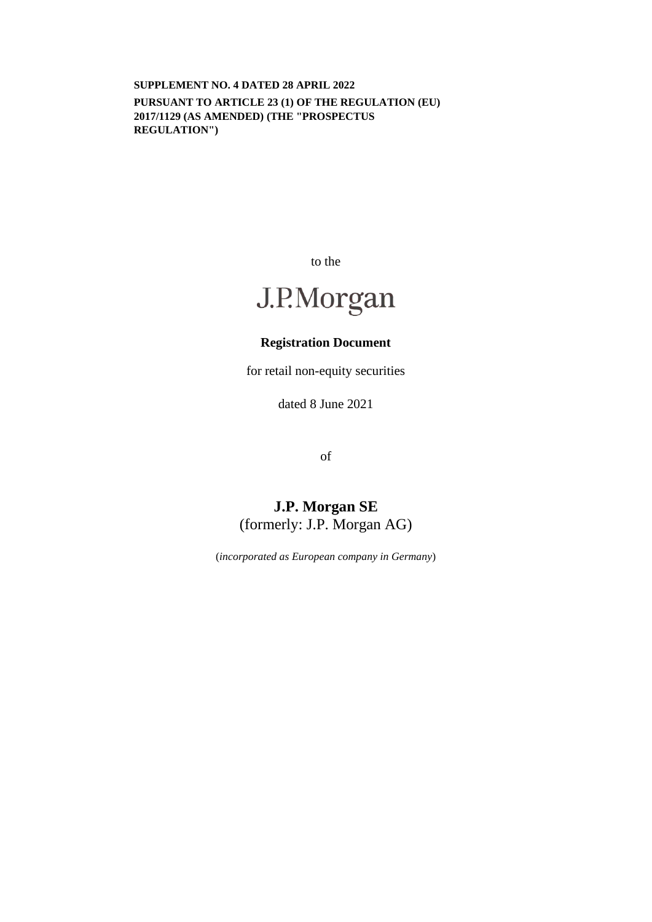**SUPPLEMENT NO. 4 DATED 28 APRIL 2022 PURSUANT TO ARTICLE 23 (1) OF THE REGULATION (EU) 2017/1129 (AS AMENDED) (THE "PROSPECTUS REGULATION")** 

to the

# J.P.Morgan

## **Registration Document**

for retail non-equity securities

dated 8 June 2021

of

# **J.P. Morgan SE**  (formerly: J.P. Morgan AG)

(*incorporated as European company in Germany*)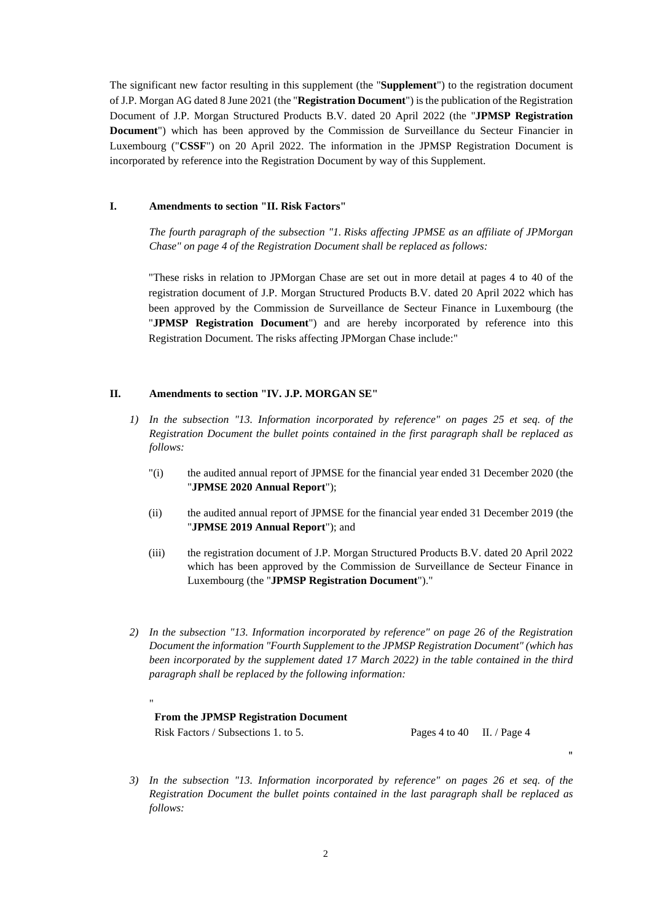The significant new factor resulting in this supplement (the "**Supplement**") to the registration document of J.P. Morgan AG dated 8 June 2021 (the "**Registration Document**") is the publication of the Registration Document of J.P. Morgan Structured Products B.V. dated 20 April 2022 (the "**JPMSP Registration Document**") which has been approved by the Commission de Surveillance du Secteur Financier in Luxembourg ("**CSSF**") on 20 April 2022. The information in the JPMSP Registration Document is incorporated by reference into the Registration Document by way of this Supplement.

#### **I. Amendments to section "II. Risk Factors"**

*The fourth paragraph of the subsection "1. Risks affecting JPMSE as an affiliate of JPMorgan Chase" on page 4 of the Registration Document shall be replaced as follows:* 

"These risks in relation to JPMorgan Chase are set out in more detail at pages 4 to 40 of the registration document of J.P. Morgan Structured Products B.V. dated 20 April 2022 which has been approved by the Commission de Surveillance de Secteur Finance in Luxembourg (the "**JPMSP Registration Document**") and are hereby incorporated by reference into this Registration Document. The risks affecting JPMorgan Chase include:"

#### **II. Amendments to section "IV. J.P. MORGAN SE"**

- *1) In the subsection "13. Information incorporated by reference" on pages 25 et seq. of the Registration Document the bullet points contained in the first paragraph shall be replaced as follows:* 
	- "(i) the audited annual report of JPMSE for the financial year ended 31 December 2020 (the "**JPMSE 2020 Annual Report**");
	- (ii) the audited annual report of JPMSE for the financial year ended 31 December 2019 (the "**JPMSE 2019 Annual Report**"); and
	- (iii) the registration document of J.P. Morgan Structured Products B.V. dated 20 April 2022 which has been approved by the Commission de Surveillance de Secteur Finance in Luxembourg (the "**JPMSP Registration Document**")."
- *2) In the subsection "13. Information incorporated by reference" on page 26 of the Registration Document the information "Fourth Supplement to the JPMSP Registration Document" (which has been incorporated by the supplement dated 17 March 2022) in the table contained in the third paragraph shall be replaced by the following information:*

### **From the JPMSP Registration Document** Risk Factors / Subsections 1. to 5. Pages 4 to 40 II. / Page 4

"

"

*3) In the subsection "13. Information incorporated by reference" on pages 26 et seq. of the Registration Document the bullet points contained in the last paragraph shall be replaced as follows:*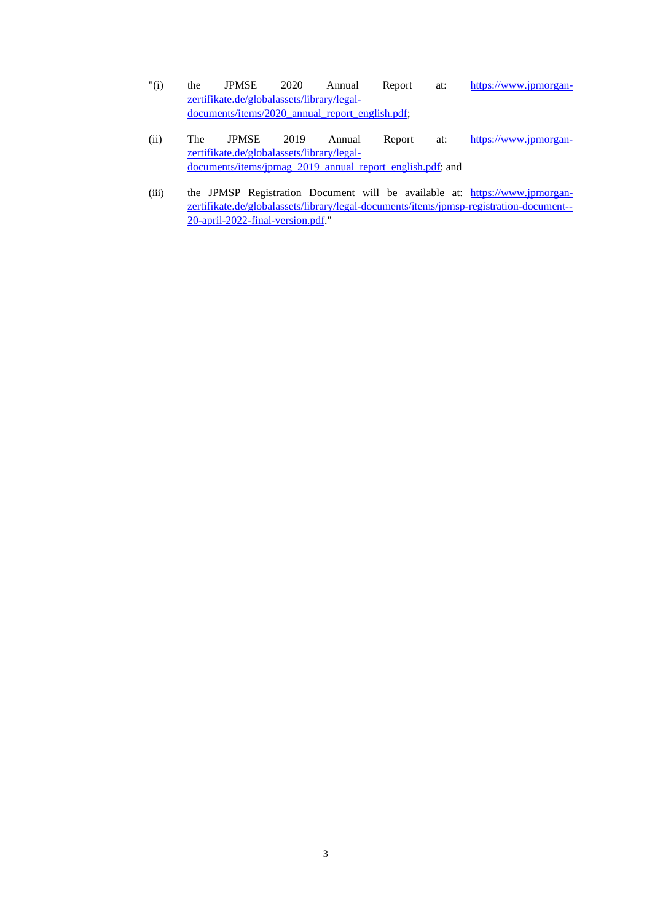- "(i) the JPMSE 2020 Annual Report at: [https://www.jpmorgan](https://www.jpmorgan-zertifikate.de/globalassets/library/legal-documents/items/2020_annual_report_english.pdf)[zertifikate.de/globalassets/library/legal](https://www.jpmorgan-zertifikate.de/globalassets/library/legal-documents/items/2020_annual_report_english.pdf)documents/items/2020\_annual\_report\_english.pdf;
- (ii) The JPMSE 2019 Annual Report at: [https://www.jpmorgan](https://www.jpmorgan-zertifikate.de/globalassets/library/legal-documents/items/jpmag_2019_annual_report_english.pdf)[zertifikate.de/globalassets/library/legal](https://www.jpmorgan-zertifikate.de/globalassets/library/legal-documents/items/jpmag_2019_annual_report_english.pdf)documents/items/jpmag\_2019\_annual\_report\_english.pdf; and
- (iii) the JPMSP Registration Document will be available at: [https://www.jpmorgan](https://www.jpmorgan-zertifikate.de/globalassets/library/legal-documents/items/jpmsp-registration-document--20-april-2022-final-version.pdf)[zertifikate.de/globalassets/library/legal-documents/items/jpmsp-registration-document--](https://www.jpmorgan-zertifikate.de/globalassets/library/legal-documents/items/jpmsp-registration-document--20-april-2022-final-version.pdf) [20-april-2022-final-version.pdf."](https://www.jpmorgan-zertifikate.de/globalassets/library/legal-documents/items/jpmsp-registration-document--20-april-2022-final-version.pdf)